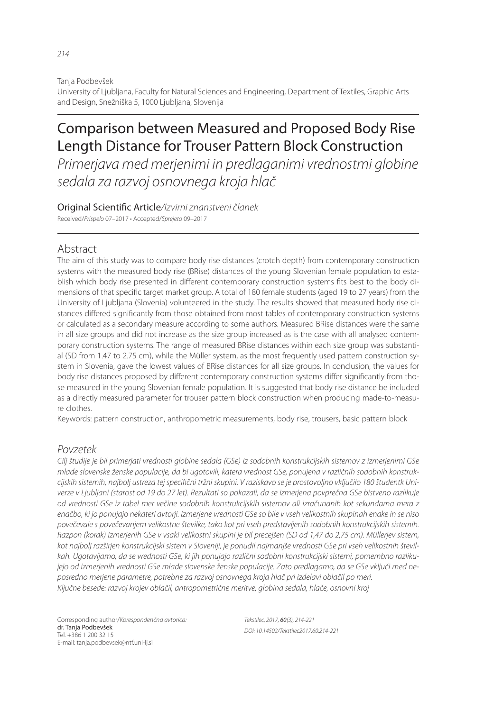Tanja Podbevšek

University of Ljubljana, Faculty for Natural Sciences and Engineering, Department of Textiles, Graphic Arts and Design, Snežniška 5, 1000 Ljubljana, Slovenija

# Comparison between Measured and Proposed Body Rise Length Distance for Trouser Pattern Block Construction

*Primerjava med merjenimi in predlaganimi vrednostmi globine sedala za razvoj osnovnega kroja hlač*

Original Scienti! c Article*/Izvirni znanstveni članek* Received/*Prispelo* 07–2017 • Accepted/*Sprejeto* 09–2017

## Abstract

The aim of this study was to compare body rise distances (crotch depth) from contemporary construction systems with the measured body rise (BRise) distances of the young Slovenian female population to establish which body rise presented in different contemporary construction systems fits best to the body dimensions of that specific target market group. A total of 180 female students (aged 19 to 27 years) from the University of Ljubljana (Slovenia) volunteered in the study. The results showed that measured body rise distances differed significantly from those obtained from most tables of contemporary construction systems or calculated as a secondary measure according to some authors. Measured BRise distances were the same in all size groups and did not increase as the size group increased as is the case with all analysed contemporary construction systems. The range of measured BRise distances within each size group was substantial (SD from 1.47 to 2.75 cm), while the Müller system, as the most frequently used pattern construction system in Slovenia, gave the lowest values of BRise distances for all size groups. In conclusion, the values for body rise distances proposed by different contemporary construction systems differ significantly from those measured in the young Slovenian female population. It is suggested that body rise distance be included as a directly measured parameter for trouser pattern block construction when producing made-to-measure clothes.

Keywords: pattern construction, anthropometric measurements, body rise, trousers, basic pattern block

## *Povzetek*

*Cilj študije je bil primerjati vrednosti globine sedala (GSe) iz sodobnih konstrukcijskih sistemov z izmerjenimi GSe mlade slovenske ženske populacije, da bi ugotovili, katera vrednost GSe, ponujena v različnih sodobnih konstruk*cijskih sistemih, najbolj ustreza tej specifični tržni skupini. V raziskavo se je prostovoljno vključilo 180 študentk Uni*verze v Ljubljani (starost od 19 do 27 let). Rezultati so pokazali, da se izmerjena povprečna GSe bistveno razlikuje od vrednosti GSe iz tabel mer večine sodobnih konstrukcijskih sistemov ali izračunanih kot sekundarna mera z enačbo, ki jo ponujajo nekateri avtorji. Izmerjene vrednosti GSe so bile v vseh velikostnih skupinah enake in se niso povečevale s povečevanjem velikostne številke, tako kot pri vseh predstavljenih sodobnih konstrukcijskih sistemih. Razpon (korak) izmerjenih GSe v vsaki velikostni skupini je bil precejšen (SD od 1,47 do 2,75 cm). Müllerjev sistem, kot najbolj razširjen konstrukcijski sistem v Sloveniji, je ponudil najmanjše vrednosti GSe pri vseh velikostnih številkah. Ugotavljamo, da se vrednosti GSe, ki jih ponujajo različni sodobni konstrukcijski sistemi, pomembno razlikujejo od izmerjenih vrednosti GSe mlade slovenske ženske populacije. Zato predlagamo, da se GSe vključi med neposredno merjene parametre, potrebne za razvoj osnovnega kroja hlač pri izdelavi oblačil po meri. Ključne besede: razvoj krojev oblačil, antropometrične meritve, globina sedala, hlače, osnovni kroj*

Corresponding author/*Korespondenčna avtorica:* dr. Tanja Podbevšek Tel. +386 1 200 32 15 E-mail: tanja.podbevsek@ntf.uni-lj.si

*Tekstilec, 2017,* 60*(3), 214-221 DOI: 10.14502/Tekstilec2017.60.214-221*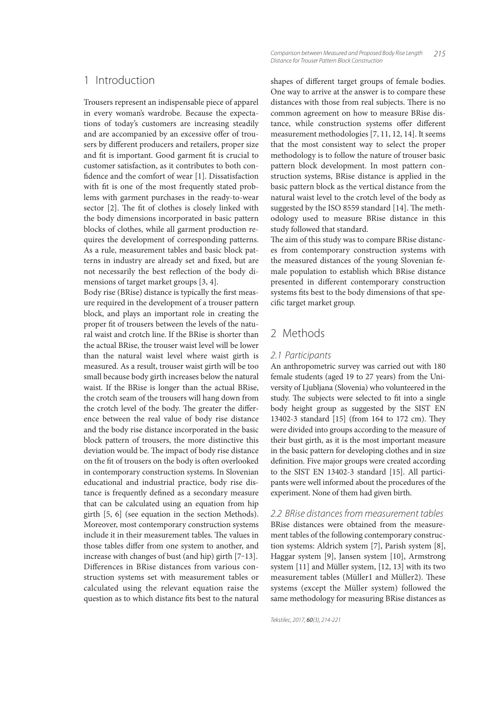Trousers represent an indispensable piece of apparel in every woman's wardrobe. Because the expectations of today's customers are increasing steadily and are accompanied by an excessive offer of trousers by different producers and retailers, proper size and fit is important. Good garment fit is crucial to customer satisfaction, as it contributes to both con fidence and the comfort of wear [1]. Dissatisfaction with fit is one of the most frequently stated problems with garment purchases in the ready-to-wear sector [2]. The fit of clothes is closely linked with the body dimensions incorporated in basic pattern blocks of clothes, while all garment production requires the development of corresponding patterns. As a rule, measurement tables and basic block patterns in industry are already set and fixed, but are not necessarily the best reflection of the body dimensions of target market groups [3, 4].

Body rise (BRise) distance is typically the first measure required in the development of a trouser pattern block, and plays an important role in creating the proper fit of trousers between the levels of the natural waist and crotch line. If the BRise is shorter than the actual BRise, the trouser waist level will be lower than the natural waist level where waist girth is measured. As a result, trouser waist girth will be too small because body girth increases below the natural waist. If the BRise is longer than the actual BRise, the crotch seam of the trousers will hang down from the crotch level of the body. The greater the difference between the real value of body rise distance and the body rise distance incorporated in the basic block pattern of trousers, the more distinctive this deviation would be. The impact of body rise distance on the fit of trousers on the body is often overlooked in contemporary construction systems. In Slovenian educational and industrial practice, body rise distance is frequently defined as a secondary measure that can be calculated using an equation from hip girth [5, 6] (see equation in the section Methods). Moreover, most contemporary construction systems include it in their measurement tables. The values in those tables differ from one system to another, and increase with changes of bust (and hip) girth [7‒13]. Differences in BRise distances from various construction systems set with measurement tables or calculated using the relevant equation raise the question as to which distance fits best to the natural

shapes of different target groups of female bodies. One way to arrive at the answer is to compare these distances with those from real subjects. There is no common agreement on how to measure BRise distance, while construction systems offer different measurement methodologies [7, 11, 12, 14]. It seems that the most consistent way to select the proper methodology is to follow the nature of trouser basic pattern block development. In most pattern construction systems, BRise distance is applied in the basic pattern block as the vertical distance from the natural waist level to the crotch level of the body as suggested by the ISO 8559 standard [14]. The methodology used to measure BRise distance in this study followed that standard.

The aim of this study was to compare BRise distances from contemporary construction systems with the measured distances of the young Slovenian female population to establish which BRise distance presented in different contemporary construction systems fits best to the body dimensions of that specific target market group.

## 2 Methods

#### *2.1 Participants*

An anthropometric survey was carried out with 180 female students (aged 19 to 27 years) from the University of Ljubljana (Slovenia) who volunteered in the study. The subjects were selected to fit into a single body height group as suggested by the SIST EN 13402-3 standard [15] (from 164 to 172 cm). They were divided into groups according to the measure of their bust girth, as it is the most important measure in the basic pattern for developing clothes and in size definition. Five major groups were created according to the SIST EN 13402-3 standard [15]. All participants were well informed about the procedures of the experiment. None of them had given birth.

*2.2 BRise distances from measurement tables* BRise distances were obtained from the measurement tables of the following contemporary construction systems: Aldrich system [7], Parish system [8], Haggar system [9], Jansen system [10], Armstrong system [11] and Müller system, [12, 13] with its two measurement tables (Müller1 and Müller2). These systems (except the Müller system) followed the same methodology for measuring BRise distances as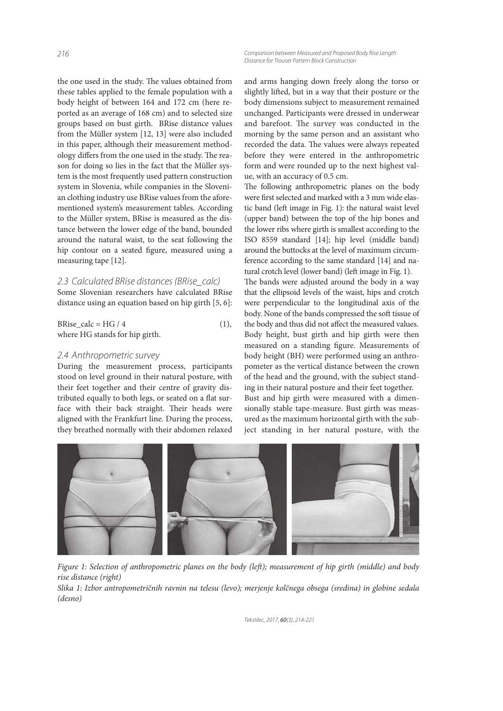*216 Comparison between Measured and Proposed Body Rise Length Distance for Trouser Pattern Block Construction*

the one used in the study. The values obtained from these tables applied to the female population with a body height of between 164 and 172 cm (here reported as an average of 168 cm) and to selected size groups based on bust girth. BRise distance values from the Müller system [12, 13] were also included in this paper, although their measurement methodology differs from the one used in the study. The reason for doing so lies in the fact that the Müller system is the most frequently used pattern construction system in Slovenia, while companies in the Slovenian clothing industry use BRise values from the aforementioned system's measurement tables. According to the Müller system, BRise is measured as the distance between the lower edge of the band, bounded around the natural waist, to the seat following the hip contour on a seated figure, measured using a measuring tape [12].

## *2.3 Calculated BRise distances (BRise\_calc)*

Some Slovenian researchers have calculated BRise distance using an equation based on hip girth [5, 6]:

 $BRise\_calc = HG / 4$  (1), where HG stands for hip girth.

### *2.4 Anthropometric survey*

During the measurement process, participants stood on level ground in their natural posture, with their feet together and their centre of gravity distributed equally to both legs, or seated on a flat surface with their back straight. Their heads were aligned with the Frankfurt line. During the process, they breathed normally with their abdomen relaxed

and arms hanging down freely along the torso or slightly lifted, but in a way that their posture or the body dimensions subject to measurement remained unchanged. Participants were dressed in underwear and barefoot. The survey was conducted in the morning by the same person and an assistant who recorded the data. The values were always repeated before they were entered in the anthropometric form and were rounded up to the next highest value, with an accuracy of 0.5 cm.

The following anthropometric planes on the body were first selected and marked with a 3 mm wide elastic band (left image in Fig. 1): the natural waist level (upper band) between the top of the hip bones and the lower ribs where girth is smallest according to the ISO 8559 standard [14]; hip level (middle band) around the buttocks at the level of maximum circumference according to the same standard [14] and natural crotch level (lower band) (left image in Fig. 1).

The bands were adjusted around the body in a way that the ellipsoid levels of the waist, hips and crotch were perpendicular to the longitudinal axis of the body. None of the bands compressed the soft tissue of the body and thus did not affect the measured values. Body height, bust girth and hip girth were then measured on a standing figure. Measurements of body height (BH) were performed using an anthropometer as the vertical distance between the crown of the head and the ground, with the subject standing in their natural posture and their feet together. Bust and hip girth were measured with a dimensionally stable tape-measure. Bust girth was measured as the maximum horizontal girth with the subject standing in her natural posture, with the



Figure 1: Selection of anthropometric planes on the body (left); measurement of hip girth (middle) and body rise distance (right)

Slika 1: Izbor antropometričnih ravnin na telesu (levo); merjenje kolčnega obsega (sredina) in globine sedala (desno)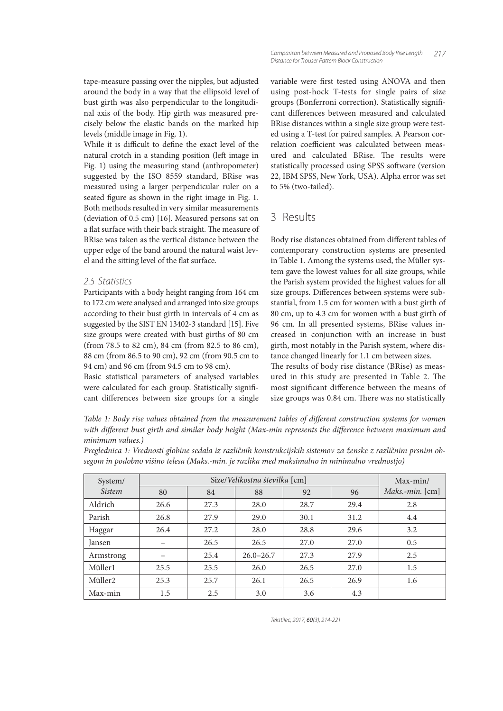tape-measure passing over the nipples, but adjusted around the body in a way that the ellipsoid level of bust girth was also perpendicular to the longitudinal axis of the body. Hip girth was measured precisely below the elastic bands on the marked hip levels (middle image in Fig. 1).

While it is difficult to define the exact level of the natural crotch in a standing position (left image in Fig. 1) using the measuring stand (anthropometer) suggested by the ISO 8559 standard, BRise was measured using a larger perpendicular ruler on a seated figure as shown in the right image in Fig. 1. Both methods resulted in very similar measurements (deviation of 0.5 cm) [16]. Measured persons sat on a flat surface with their back straight. The measure of BRise was taken as the vertical distance between the upper edge of the band around the natural waist level and the sitting level of the flat surface.

#### *2.5 Statistics*

Participants with a body height ranging from 164 cm to 172 cm were analysed and arranged into size groups according to their bust girth in intervals of 4 cm as suggested by the SIST EN 13402-3 standard [15]. Five size groups were created with bust girths of 80 cm (from 78.5 to 82 cm), 84 cm (from 82.5 to 86 cm), 88 cm (from 86.5 to 90 cm), 92 cm (from 90.5 cm to 94 cm) and 96 cm (from 94.5 cm to 98 cm).

Basic statistical parameters of analysed variables were calculated for each group. Statistically significant differences between size groups for a single variable were first tested using ANOVA and then using post-hock T-tests for single pairs of size groups (Bonferroni correction). Statistically significant differences between measured and calculated BRise distances within a single size group were tested using a T-test for paired samples. A Pearson correlation coefficient was calculated between measured and calculated BRise. The results were statistically processed using SPSS software (version 22, IBM SPSS, New York, USA). Alpha error was set to 5% (two-tailed).

# 3 Results

Body rise distances obtained from different tables of contemporary construction systems are presented in Table 1. Among the systems used, the Müller system gave the lowest values for all size groups, while the Parish system provided the highest values for all size groups. Differences between systems were substantial, from 1.5 cm for women with a bust girth of 80 cm, up to 4.3 cm for women with a bust girth of 96 cm. In all presented systems, BRise values increased in conjunction with an increase in bust girth, most notably in the Parish system, where distance changed linearly for 1.1 cm between sizes. The results of body rise distance (BRise) as meas-

ured in this study are presented in Table 2. The most significant difference between the means of size groups was 0.84 cm. There was no statistically

Table 1: Body rise values obtained from the measurement tables of different construction systems for women with different bust girth and similar body height (Max-min represents the difference between maximum and minimum values.)

Preglednica 1: Vrednosti globine sedala iz različnih konstrukcijskih sistemov za ženske z različnim prsnim obsegom in podobno višino telesa (Maks.-min. je razlika med maksimalno in minimalno vrednostjo)

| System/       |      | $Max-min/$ |               |      |      |                 |
|---------------|------|------------|---------------|------|------|-----------------|
| <i>Sistem</i> | 80   | 84         | 88            | 92   | 96   | Maks.-min. [cm] |
| Aldrich       | 26.6 | 27.3       | 28.0          | 28.7 | 29.4 | 2.8             |
| Parish        | 26.8 | 27.9       | 29.0          | 30.1 | 31.2 | 4.4             |
| Haggar        | 26.4 | 27.2       | 28.0          | 28.8 | 29.6 | 3.2             |
| Jansen        |      | 26.5       | 26.5          | 27.0 | 27.0 | 0.5             |
| Armstrong     | -    | 25.4       | $26.0 - 26.7$ | 27.3 | 27.9 | 2.5             |
| Müller1       | 25.5 | 25.5       | 26.0          | 26.5 | 27.0 | 1.5             |
| Müller2       | 25.3 | 25.7       | 26.1          | 26.5 | 26.9 | 1.6             |
| Max-min       | 1.5  | 2.5        | 3.0           | 3.6  | 4.3  |                 |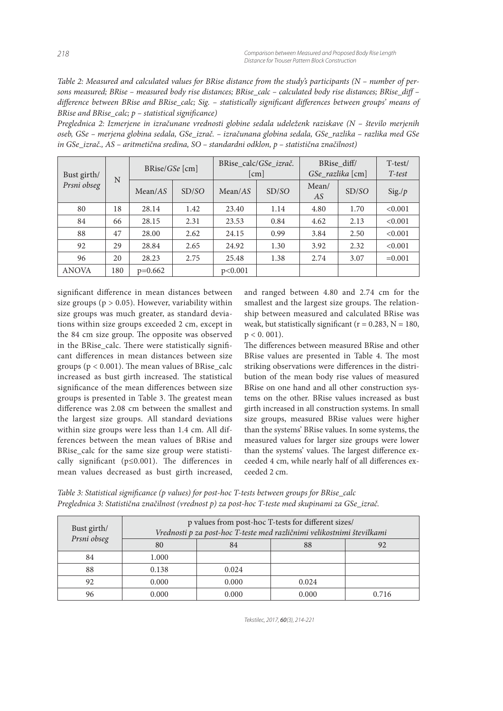Table 2: Measured and calculated values for BRise distance from the study's participants (N – number of persons measured; BRise – measured body rise distances; BRise calc – calculated body rise distances; BRise diff – difference between BRise and BRise\_calc; Sig. - statistically significant differences between groups' means of BRise and BRise\_calc;  $p$  – statistical significance)

Preglednica 2: Izmerjene in izračunane vrednosti globine sedala udeleženk raziskave (N – število merjenih oseb, GSe – merjena globina sedala, GSe\_izrač. – izračunana globina sedala, GSe\_razlika – razlika med GSe in GSe\_izrač., AS – aritmetična sredina, SO – standardni odklon, p – statistična značilnost)

| Bust girth/<br>Prsni obseg | N   | $BRise/GSe$ [cm] |       | BRise calc/GSe izrač.<br>$\lceil$ cm $\rceil$ |       | BRise diff/<br>GSe_razlika [cm] |       | $T-test/$<br>T-test |
|----------------------------|-----|------------------|-------|-----------------------------------------------|-------|---------------------------------|-------|---------------------|
|                            |     | Mean/AS          | SD/SO | Mean/AS                                       | SD/SO | Mean/<br>AS                     | SD/SO | Sig./p              |
| 80                         | 18  | 28.14            | 1.42  | 23.40                                         | 1.14  | 4.80                            | 1.70  | < 0.001             |
| 84                         | 66  | 28.15            | 2.31  | 23.53                                         | 0.84  | 4.62                            | 2.13  | < 0.001             |
| 88                         | 47  | 28.00            | 2.62  | 24.15                                         | 0.99  | 3.84                            | 2.50  | < 0.001             |
| 92                         | 29  | 28.84            | 2.65  | 24.92                                         | 1.30  | 3.92                            | 2.32  | < 0.001             |
| 96                         | 20  | 28.23            | 2.75  | 25.48                                         | 1.38  | 2.74                            | 3.07  | $=0.001$            |
| <b>ANOVA</b>               | 180 | $p=0.662$        |       | p<0.001                                       |       |                                 |       |                     |

significant difference in mean distances between size groups ( $p > 0.05$ ). However, variability within size groups was much greater, as standard deviations within size groups exceeded 2 cm, except in the 84 cm size group. The opposite was observed in the BRise\_calc. There were statistically significant differences in mean distances between size groups ( $p < 0.001$ ). The mean values of BRise calc increased as bust girth increased. The statistical significance of the mean differences between size groups is presented in Table 3. The greatest mean difference was 2.08 cm between the smallest and the largest size groups. All standard deviations within size groups were less than 1.4 cm. All differences between the mean values of BRise and BRise calc for the same size group were statistically significant ( $p \le 0.001$ ). The differences in mean values decreased as bust girth increased,

and ranged between 4.80 and 2.74 cm for the smallest and the largest size groups. The relationship between measured and calculated BRise was weak, but statistically significant ( $r = 0.283$ ,  $N = 180$ ,  $p < 0.001$ ).

The differences between measured BRise and other BRise values are presented in Table 4. The most striking observations were differences in the distribution of the mean body rise values of measured BRise on one hand and all other construction systems on the other. BRise values increased as bust girth increased in all construction systems. In small size groups, measured BRise values were higher than the systems' BRise values. In some systems, the measured values for larger size groups were lower than the systems' values. The largest difference exceeded 4 cm, while nearly half of all differences exceeded 2 cm.

Table 3: Statistical significance (p values) for post-hoc T-tests between groups for BRise\_calc Preglednica 3: Statistična značilnost (vrednost p) za post-hoc T-teste med skupinami za GSe\_izrač.

| Bust girth/<br>Prsni obseg | p values from post-hoc T-tests for different sizes/<br>Vrednosti p za post-hoc T-teste med različnimi velikostnimi številkami |       |       |       |  |  |
|----------------------------|-------------------------------------------------------------------------------------------------------------------------------|-------|-------|-------|--|--|
|                            | 80                                                                                                                            | 84    | 88    |       |  |  |
| 84                         | 1.000                                                                                                                         |       |       |       |  |  |
| 88                         | 0.138                                                                                                                         | 0.024 |       |       |  |  |
| 92                         | 0.000                                                                                                                         | 0.000 | 0.024 |       |  |  |
| 96                         | 0.000                                                                                                                         | 0.000 | 0.000 | 0.716 |  |  |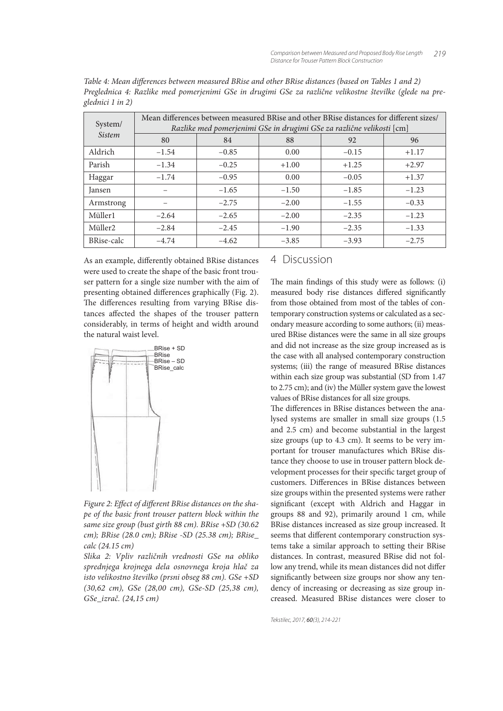| System/<br><i>Sistem</i> | Mean differences between measured BRise and other BRise distances for different sizes/<br>Razlike med pomerjenimi GSe in drugimi GSe za različne velikosti [cm] |         |         |         |         |  |  |
|--------------------------|-----------------------------------------------------------------------------------------------------------------------------------------------------------------|---------|---------|---------|---------|--|--|
|                          | 80                                                                                                                                                              | 84      | 88      | 92      | 96      |  |  |
| Aldrich                  | $-1.54$                                                                                                                                                         | $-0.85$ | 0.00    | $-0.15$ | $+1.17$ |  |  |
| Parish                   | $-1.34$                                                                                                                                                         | $-0.25$ | $+1.00$ | $+1.25$ | $+2.97$ |  |  |
| Haggar                   | $-1.74$                                                                                                                                                         | $-0.95$ | 0.00    | $-0.05$ | $+1.37$ |  |  |
| <b>Jansen</b>            |                                                                                                                                                                 | $-1.65$ | $-1.50$ | $-1.85$ | $-1.23$ |  |  |
| Armstrong                |                                                                                                                                                                 | $-2.75$ | $-2.00$ | $-1.55$ | $-0.33$ |  |  |
| Müller1                  | $-2.64$                                                                                                                                                         | $-2.65$ | $-2.00$ | $-2.35$ | $-1.23$ |  |  |
| Müller2                  | $-2.84$                                                                                                                                                         | $-2.45$ | $-1.90$ | $-2.35$ | $-1.33$ |  |  |
| BRise-calc               | $-4.74$                                                                                                                                                         | $-4.62$ | $-3.85$ | $-3.93$ | $-2.75$ |  |  |

Table 4: Mean differences between measured BRise and other BRise distances (based on Tables 1 and 2) Preglednica 4: Razlike med pomerjenimi GSe in drugimi GSe za različne velikostne številke (glede na preglednici 1 in 2)

As an example, differently obtained BRise distances were used to create the shape of the basic front trouser pattern for a single size number with the aim of presenting obtained differences graphically (Fig. 2). The differences resulting from varying BRise distances affected the shapes of the trouser pattern considerably, in terms of height and width around the natural waist level.



Figure 2: Effect of different BRise distances on the shape of the basic front trouser pattern block within the same size group (bust girth 88 cm). BRise +SD (30.62 cm); BRise (28.0 cm); BRise -SD (25.38 cm); BRise\_ calc (24.15 cm)

Slika 2: Vpliv različnih vrednosti GSe na obliko sprednjega krojnega dela osnovnega kroja hlač za isto velikostno številko (prsni obseg 88 cm). GSe +SD (30,62 cm), GSe (28,00 cm), GSe-SD (25,38 cm), GSe\_izrač. (24,15 cm)

## 4 Discussion

The main findings of this study were as follows: (i) measured body rise distances differed significantly from those obtained from most of the tables of contemporary construction systems or calculated as a secondary measure according to some authors; (ii) measured BRise distances were the same in all size groups and did not increase as the size group increased as is the case with all analysed contemporary construction systems; (iii) the range of measured BRise distances within each size group was substantial (SD from 1.47 to 2.75 cm); and (iv) the Müller system gave the lowest values of BRise distances for all size groups.

The differences in BRise distances between the analysed systems are smaller in small size groups (1.5 and 2.5 cm) and become substantial in the largest size groups (up to 4.3 cm). It seems to be very important for trouser manufactures which BRise distance they choose to use in trouser pattern block development processes for their specific target group of customers. Differences in BRise distances between size groups within the presented systems were rather significant (except with Aldrich and Haggar in groups 88 and 92), primarily around 1 cm, while BRise distances increased as size group increased. It seems that different contemporary construction systems take a similar approach to setting their BRise distances. In contrast, measured BRise did not follow any trend, while its mean distances did not differ significantly between size groups nor show any tendency of increasing or decreasing as size group increased. Measured BRise distances were closer to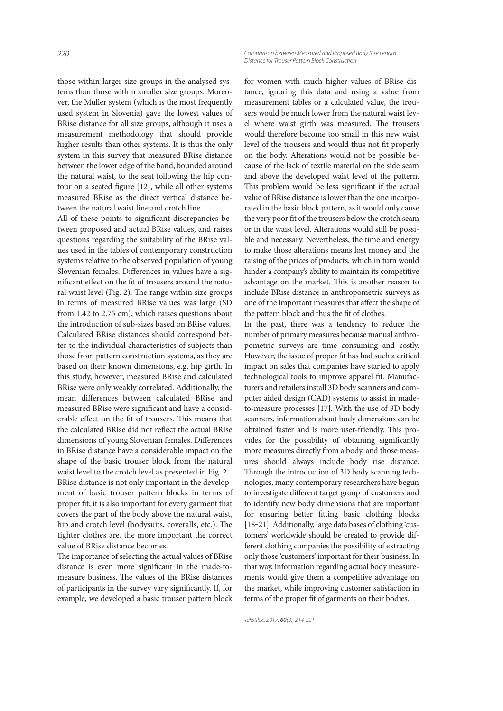those within larger size groups in the analysed systems than those within smaller size groups. Moreover, the Müller system (which is the most frequently used system in Slovenia) gave the lowest values of BRise distance for all size groups, although it uses a measurement methodology that should provide higher results than other systems. It is thus the only system in this survey that measured BRise distance between the lower edge of the band, bounded around the natural waist, to the seat following the hip contour on a seated figure  $[12]$ , while all other systems measured BRise as the direct vertical distance between the natural waist line and crotch line.

All of these points to significant discrepancies between proposed and actual BRise values, and raises questions regarding the suitability of the BRise values used in the tables of contemporary construction systems relative to the observed population of young Slovenian females. Differences in values have a significant effect on the fit of trousers around the natural waist level (Fig. 2). The range within size groups in terms of measured BRise values was large (SD from 1.42 to 2.75 cm), which raises questions about the introduction of sub-sizes based on BRise values. Calculated BRise distances should correspond better to the individual characteristics of subjects than those from pattern construction systems, as they are based on their known dimensions, e.g. hip girth. In this study, however, measured BRise and calculated BRise were only weakly correlated. Additionally, the mean differences between calculated BRise and measured BRise were significant and have a considerable effect on the fit of trousers. This means that the calculated BRise did not reflect the actual BRise dimensions of young Slovenian females. Differences in BRise distance have a considerable impact on the shape of the basic trouser block from the natural waist level to the crotch level as presented in Fig. 2. BRise distance is not only important in the development of basic trouser pattern blocks in terms of proper fit; it is also important for every garment that covers the part of the body above the natural waist, hip and crotch level (bodysuits, coveralls, etc.). The tighter clothes are, the more important the correct value of BRise distance becomes.

The importance of selecting the actual values of BRise distance is even more significant in the made-tomeasure business. The values of the BRise distances of participants in the survey vary significantly. If, for example, we developed a basic trouser pattern block for women with much higher values of BRise distance, ignoring this data and using a value from measurement tables or a calculated value, the trousers would be much lower from the natural waist level where waist girth was measured. The trousers would therefore become too small in this new waist level of the trousers and would thus not fit properly on the body. Alterations would not be possible because of the lack of textile material on the side seam and above the developed waist level of the pattern. This problem would be less significant if the actual value of BRise distance is lower than the one incorporated in the basic block pattern, as it would only cause the very poor fit of the trousers below the crotch seam or in the waist level. Alterations would still be possible and necessary. Nevertheless, the time and energy to make those alterations means lost money and the raising of the prices of products, which in turn would hinder a company's ability to maintain its competitive advantage on the market. This is another reason to include BRise distance in anthropometric surveys as one of the important measures that affect the shape of the pattern block and thus the fit of clothes.

In the past, there was a tendency to reduce the number of primary measures because manual anthropometric surveys are time consuming and costly. However, the issue of proper fit has had such a critical impact on sales that companies have started to apply technological tools to improve apparel fit. Manufacturers and retailers install 3D body scanners and computer aided design (CAD) systems to assist in madeto-measure processes [17]. With the use of 3D body scanners, information about body dimensions can be obtained faster and is more user-friendly. This provides for the possibility of obtaining significantly more measures directly from a body, and those measures should always include body rise distance. Through the introduction of 3D body scanning technologies, many contemporary researchers have begun to investigate different target group of customers and to identify new body dimensions that are important for ensuring better fitting basic clothing blocks [18-21]. Additionally, large data bases of clothing 'customers' worldwide should be created to provide different clothing companies the possibility of extracting only those 'customers' important for their business. In that way, information regarding actual body measurements would give them a competitive advantage on the market, while improving customer satisfaction in terms of the proper fit of garments on their bodies.